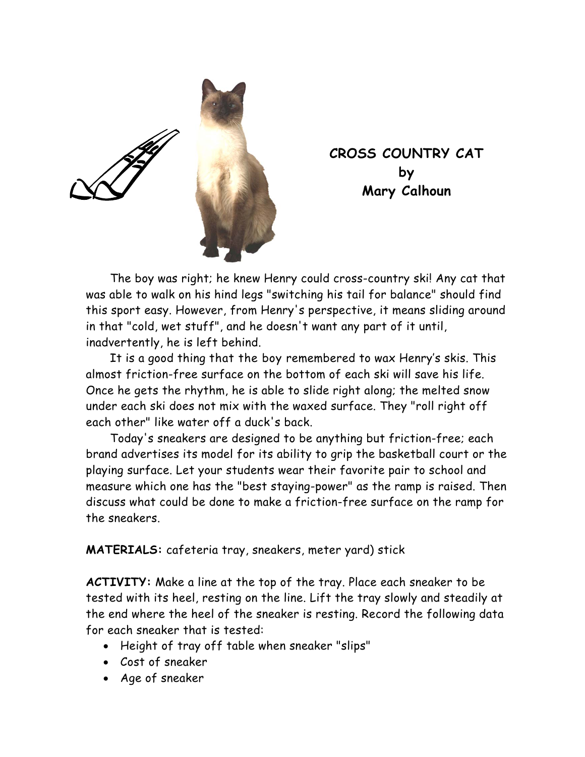

**CROSS COUNTRY CAT by Mary Calhoun** 

The boy was right; he knew Henry could cross-country ski! Any cat that was able to walk on his hind legs "switching his tail for balance" should find this sport easy. However, from Henry's perspective, it means sliding around in that "cold, wet stuff", and he doesn't want any part of it until, inadvertently, he is left behind.

It is a good thing that the boy remembered to wax Henry's skis. This almost friction-free surface on the bottom of each ski will save his life. Once he gets the rhythm, he is able to slide right along; the melted snow under each ski does not mix with the waxed surface. They "roll right off each other" like water off a duck's back.

Today's sneakers are designed to be anything but friction-free; each brand advertises its model for its ability to grip the basketball court or the playing surface. Let your students wear their favorite pair to school and measure which one has the "best staying-power" as the ramp is raised. Then discuss what could be done to make a friction-free surface on the ramp for the sneakers.

**MATERIALS:** cafeteria tray, sneakers, meter yard) stick

**ACTIVITY:** Make a line at the top of the tray. Place each sneaker to be tested with its heel, resting on the line. Lift the tray slowly and steadily at the end where the heel of the sneaker is resting. Record the following data for each sneaker that is tested:

- Height of tray off table when sneaker "slips"
- Cost of sneaker
- Age of sneaker